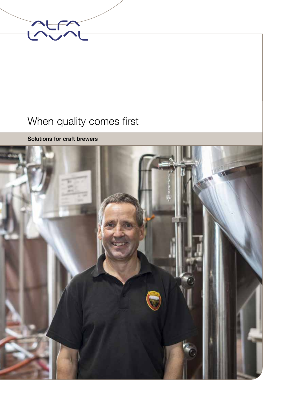

### When quality comes first

Solutions for craft brewers

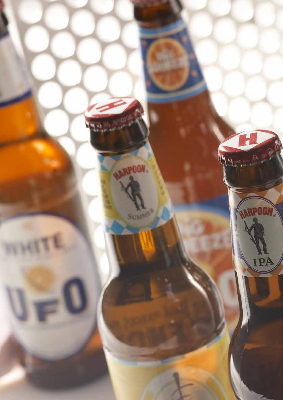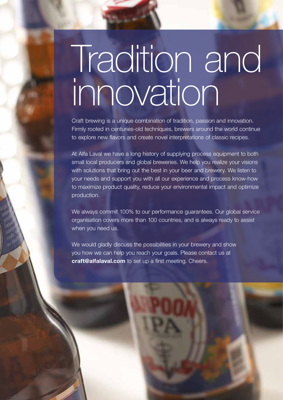# Tradition and innovation

Craft brewing is a unique combination of tradition, passion and innovation. Firmly rooted in centuries-old techniques, brewers around the world continue to explore new flavors and create novel interpretations of classic recipes.

At Alfa Laval we have a long history of supplying process equipment to both small local producers and global breweries. We help you realize your visions with solutions that bring out the best in your beer and brewery. We listen to your needs and support you with all our experience and process know-how to maximize product quality, reduce your environmental impact and optimize production.

We always commit 100% to our performance guarantees. Our global service organisation covers more than 100 countries, and is always ready to assist when you need us.

We would gladly discuss the possibilities in your brewery and show you how we can help you reach your goals. Please contact us at craft@alfalaval.com to set up a first meeting. Cheers.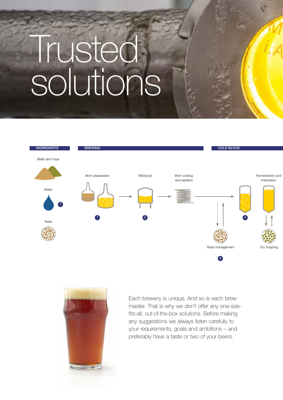## TISTA solutions





Each brewery is unique. And so is each brew master. That is why we don't offer any one-sizefits-all, out-of-the-box solutions. Before making any suggestions we always listen carefully to your requirements, goals and ambitions – and preferably have a taste or two of your beers.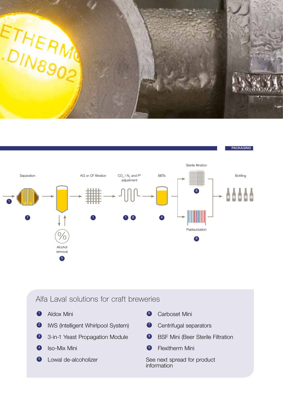

#### **PACKAGING**



#### Alfa Laval solutions for craft breweries

- **1** Aldox Mini
- <sup>2</sup> IWS (Intelligent Whirlpool System)
- <sup>3</sup> 3-in-1 Yeast Propagation Module
- $\bullet$  Iso-Mix Mini
- **5** Lowal de-alcoholizer
- **6** Carboset Mini
- **<sup>3</sup>** Centrifugal separators
- **8** BSF Mini (Beer Sterile Filtration
- <sup>9</sup> Flexitherm Mini

See next spread for product information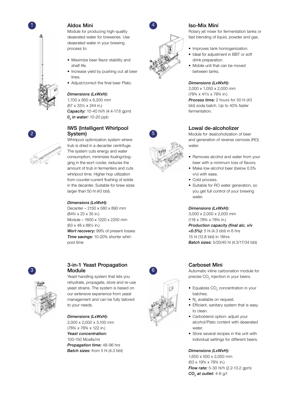

Module for producing high-quality deaerated water for breweries. Use deaerated water in your brewing process to:

- Maximize beer flavor stability and shelf life.
- Increase yield by pushing out all beer lines.
- Adiust/correct the final beer Plato.

#### Dimensions (LxWxH):

1,700 x 850 x 6,200 mm (67 x 33½ x 244 in.) Capacity: 10-40 hl/h (4.4-17.6 gpm) *0<sub>2</sub> in water:* 10-20 ppb

#### 2 System) 5 IWS (Intelligent Whirlpool

Whirlpool optimization system where trub is dried in a decanter centrifuge. The system cuts energy and water consumption, minimizes fouling/clogging in the wort cooler, reduces the amount of trub in fermenters and cuts whirlpool time. Higher hop utilization from counter-current flushing of solids in the decanter. Suitable for brew sizes larger than 50 hl (43 bbl).

#### Dimensions (LxWxH):

Decanter – 2150 x 580 x 890 mm (84¾ x 23 x 35 in.) Module – 1600 x 1220 x 2250 mm (63 x 48 x 88½ in.) Wort recovery: 99% of present losses Time savings: 10-20% shorter whirlpool time



#### 3-in-1 Yeast Propagation Module

Yeast handling system that lets you rehydrate, propagate, store and re-use yeast strains. The system is based on our extensive experience from yeast management and can be fully tailored to your needs.

#### Dimensions (LxWxH):

2,000 x 2,000 x 3,100 mm (78¾ x 78¾ x 122 in.) Yeast concentration: 100-150 Mcells/ml Propagation time: 48-96 hrs Batch sizes: from 5 hl (4.3 bbl)





#### Iso-Mix Mini

Rotary jet mixer for fermentation tanks or fast blending of liquid, powder and gas.

- Improves tank homogenization.
- Ideal for adjustment in BBT or soft drink preparation.
- Mobile unit that can be moved between tanks.

#### Dimensions (LxWxH):

2,000 x 1,050 x 2,000 mm (78¾ x 41½ x 78¾ in.) Process time: 2 hours for 50 hl (43 bbl) soda batch. Up to 40% faster fermentation.



6

### Lowal de-alcoholizer

Module for dealcoholization of beer and generation of reverse osmosis (RO) water.

- Removes alcohol and water from your beer with a minimum loss of flavors.
- Make low-alcohol beer (below 0.5% v/v) with ease.
- Cold process.
- Suitable for RO water generation, so you get full control of your brewing water.

#### Dimensions (LxWxH):

3,000 x 2,000 x 2,000 mm (118 x 78¾ x 78¾ in.) Production capacity (final alc. v/v <0.5%): 5 hl (4.3 bbl) in 6 hrs 15 hl (12.8 bbl) in 18hrs **Batch sizes:** 5/20/40 hl (4.3/17/34 bbl)

#### Carboset Mini

Automatic inline carbonation module for precise  $\mathrm{CO}_2$  injection in your beers.

- Equalizes  $CO<sub>2</sub>$  concentration in your batches.
- $\bullet$  N<sub>2</sub> available on request.
- Efficient, sanitary system that is easy to clean.
- Carboblend option: adjust your alcohol/Plato content with deaerated water
- Store several recipes in the unit with individual settings for different beers.

#### Dimensions (LxWxH):

1,600 x 500 x 2,000 mm (63 x 19¾ x 78¾ in.) **Flow rate:** 5-30 hl/h (2.2-13.2 gpm)  $\mathsf{CO}_2$  at outlet: 4-6 g/l

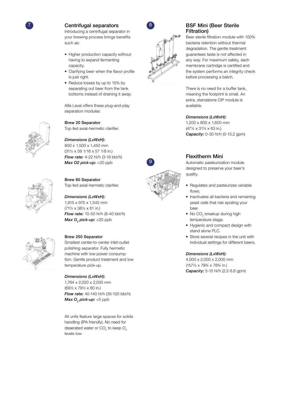

#### Centrifugal separators

Introducing a centrifugal separator in your brewing process brings benefits such as:

- Higher production capacity without having to expand fermenting capacity.
- Clarifying beer when the flavor profile is just right.
- Reduce losses by up to 15% by separating out beer from the tank bottoms instead of draining it away.

Alfa Laval offers these plug-and-play separation modules:



#### Brew 20 Separator

Top-fed axial-hermetic clarifier.

Dimensions (LxWxH): 800 x 1,500 x 1,450 mm (31½ x 59 1/16 x 57 1/8 in.) **Flow rate:** 4-22 hl/h (3-19 bbl/h) Max O2 pick-up: <20 ppb



Brew 80 Separator

Top-fed axial-hermetic clarifier.

Dimensions (LxWxH): 1,815 x 975 x 1,545 mm (71½ x 38½ x 61 in.) **Flow rate:** 10-50 hl/h (8-40 bbl/h) *Max O<sub>2</sub> pick-up: <***20** ppb



#### Brew 250 Separator

Smallest center-to-center inlet-outlet polishing separator. Fully hermetic machine with low power consump tion. Gentle product treatment and low temperature pick-up.

#### Dimensions (LxWxH):

1,764 x 2,020 x 2,030 mm (69½ x 79½ x 80 in.) **Flow rate:** 40-140 hl/h (35-120 bbl/h) **Max O<sub>2</sub> pick-up:** <5 ppb

All units feature large spaces for solids handling (IPA friendly). No need for deaerated water or CO<sub>2</sub> to keep O<sub>2</sub> levels low.



#### BSF Mini (Beer Sterile Filtration)

Beer sterile filtration module with 100% bacteria retention without thermal degradation. The gentle treatment guarantees taste is not affected in any way. For maximum safety, each membrane cartridge is certified and the system performs an integrity check before processing a batch.

There is no need for a buffer tank, meaning the footprint is small. An extra, standalone CIP module is available.

#### Dimensions (LxWxH):

1,200 x 800 x 1,600 mm (47¼ x 31½ x 63 in.) Capacity: 0-30 hl/h (0-13.2 gpm)



#### Flexitherm Mini

Automatic pasteurization module designed to preserve your beer's quality.

- Regulates and pasteurizes variable flows.
- Inactivates all bacteria and remaining yeast cells that risk spoiling your beer.
- No CO<sub>2</sub> breakup during high temperature stage.
- Hygienic and compact design with stand alone PLC.
- Store several recipes in the unit with individual settings for different beers.

#### Dimensions (LxWxH):

4,000 x 2,000 x 2,000 mm (157½ x 78¾ x 78¾ in.) Capacity: 5-15 hl/h (2.2-6.6 gpm)